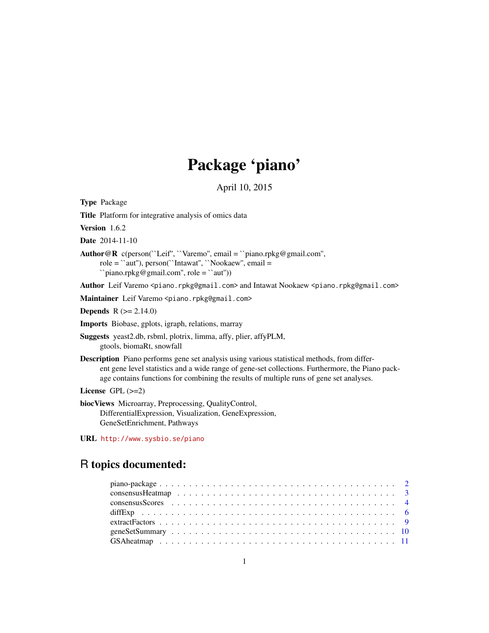# Package 'piano'

April 10, 2015

<span id="page-0-0"></span>Type Package

Title Platform for integrative analysis of omics data

Version 1.6.2

Date 2014-11-10

Author@R c(person(``Leif'', ``Varemo'', email = ``piano.rpkg@gmail.com'', role = ``aut''), person(``Intawat'', ``Nookaew'', email = ``piano.rpkg@gmail.com'', role = ``aut''))

Author Leif Varemo <piano.rpkg@gmail.com> and Intawat Nookaew <piano.rpkg@gmail.com>

Maintainer Leif Varemo <piano.rpkg@gmail.com>

**Depends**  $R (= 2.14.0)$ 

Imports Biobase, gplots, igraph, relations, marray

Suggests yeast2.db, rsbml, plotrix, limma, affy, plier, affyPLM, gtools, biomaRt, snowfall

Description Piano performs gene set analysis using various statistical methods, from different gene level statistics and a wide range of gene-set collections. Furthermore, the Piano package contains functions for combining the results of multiple runs of gene set analyses.

License  $GPL$  ( $>=2$ )

biocViews Microarray, Preprocessing, QualityControl, DifferentialExpression, Visualization, GeneExpression, GeneSetEnrichment, Pathways

URL <http://www.sysbio.se/piano>

# R topics documented: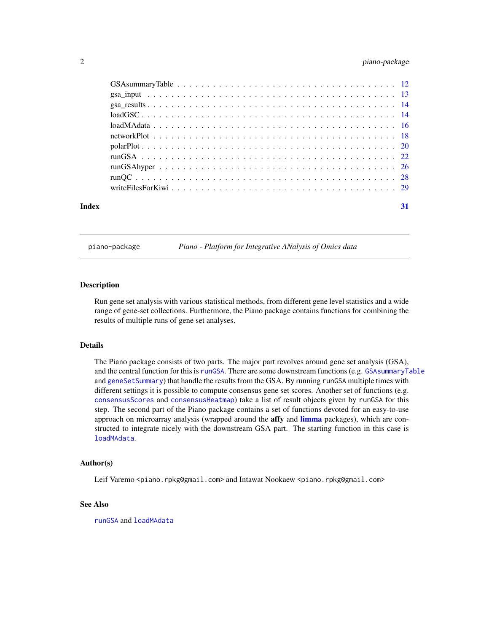# <span id="page-1-0"></span>2 piano-package

| Index | 31 |
|-------|----|

piano-package *Piano - Platform for Integrative ANalysis of Omics data*

# <span id="page-1-1"></span>**Description**

Run gene set analysis with various statistical methods, from different gene level statistics and a wide range of gene-set collections. Furthermore, the Piano package contains functions for combining the results of multiple runs of gene set analyses.

#### Details

The Piano package consists of two parts. The major part revolves around gene set analysis (GSA), and the central function for this is [runGSA](#page-21-1). There are some downstream functions (e.g. [GSAsummaryTable](#page-11-1) and [geneSetSummary](#page-9-1)) that handle the results from the GSA. By running runGSA multiple times with different settings it is possible to compute consensus gene set scores. Another set of functions (e.g. [consensusScores](#page-3-1) and [consensusHeatmap](#page-2-1)) take a list of result objects given by runGSA for this step. The second part of the Piano package contains a set of functions devoted for an easy-to-use approach on microarray analysis (wrapped around the **affy** and **[limma](#page-0-0)** packages), which are constructed to integrate nicely with the downstream GSA part. The starting function in this case is [loadMAdata](#page-15-1).

#### Author(s)

Leif Varemo <piano.rpkg@gmail.com> and Intawat Nookaew <piano.rpkg@gmail.com>

#### See Also

[runGSA](#page-21-1) and [loadMAdata](#page-15-1)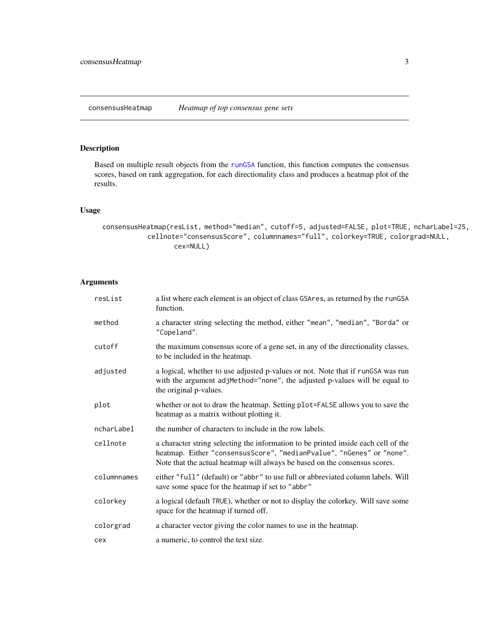<span id="page-2-1"></span><span id="page-2-0"></span>consensusHeatmap *Heatmap of top consensus gene sets*

# Description

Based on multiple result objects from the [runGSA](#page-21-1) function, this function computes the consensus scores, based on rank aggregation, for each directionality class and produces a heatmap plot of the results.

# Usage

```
consensusHeatmap(resList, method="median", cutoff=5, adjusted=FALSE, plot=TRUE, ncharLabel=25,
           cellnote="consensusScore", columnnames="full", colorkey=TRUE, colorgrad=NULL,
                  cex=NULL)
```

| resList     | a list where each element is an object of class GSAres, as returned by the runGSA<br>function.                                                                                                                                            |
|-------------|-------------------------------------------------------------------------------------------------------------------------------------------------------------------------------------------------------------------------------------------|
| method      | a character string selecting the method, either "mean", "median", "Borda" or<br>"Copeland".                                                                                                                                               |
| cutoff      | the maximum consensus score of a gene set, in any of the directionality classes,<br>to be included in the heatmap.                                                                                                                        |
| adjusted    | a logical, whether to use adjusted p-values or not. Note that if runGSA was run<br>with the argument adjMethod="none", the adjusted p-values will be equal to<br>the original p-values.                                                   |
| plot        | whether or not to draw the heatmap. Setting plot=FALSE allows you to save the<br>heatmap as a matrix without plotting it.                                                                                                                 |
| ncharLabel  | the number of characters to include in the row labels.                                                                                                                                                                                    |
| cellnote    | a character string selecting the information to be printed inside each cell of the<br>heatmap. Either "consensusScore", "medianPvalue", "nGenes" or "none".<br>Note that the actual heatmap will always be based on the consensus scores. |
| columnnames | either "full" (default) or "abbr" to use full or abbreviated column labels. Will<br>save some space for the heatmap if set to "abbr"                                                                                                      |
| colorkey    | a logical (default TRUE), whether or not to display the colorkey. Will save some<br>space for the heatmap if turned off.                                                                                                                  |
| colorgrad   | a character vector giving the color names to use in the heatmap.                                                                                                                                                                          |
| cex         | a numeric, to control the text size.                                                                                                                                                                                                      |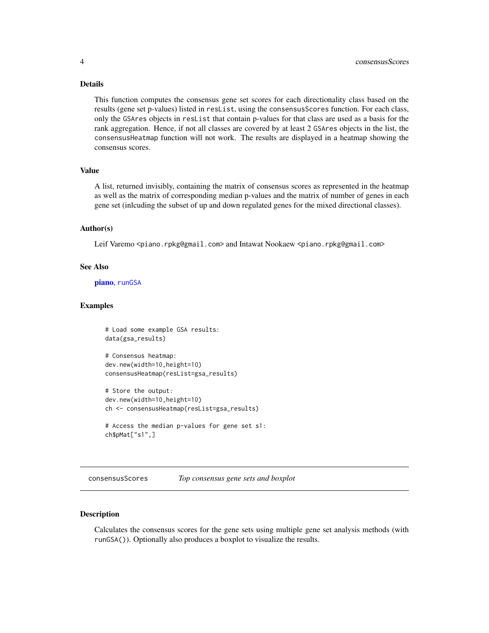#### <span id="page-3-0"></span>Details

This function computes the consensus gene set scores for each directionality class based on the results (gene set p-values) listed in resList, using the consensusScores function. For each class, only the GSAres objects in resList that contain p-values for that class are used as a basis for the rank aggregation. Hence, if not all classes are covered by at least 2 GSAres objects in the list, the consensusHeatmap function will not work. The results are displayed in a heatmap showing the consensus scores.

#### Value

A list, returned invisibly, containing the matrix of consensus scores as represented in the heatmap as well as the matrix of corresponding median p-values and the matrix of number of genes in each gene set (inlcuding the subset of up and down regulated genes for the mixed directional classes).

# Author(s)

Leif Varemo <piano.rpkg@gmail.com> and Intawat Nookaew <piano.rpkg@gmail.com>

#### See Also

[piano](#page-1-1), [runGSA](#page-21-1)

#### Examples

```
# Load some example GSA results:
data(gsa_results)
```

```
# Consensus heatmap:
dev.new(width=10,height=10)
consensusHeatmap(resList=gsa_results)
```

```
# Store the output:
dev.new(width=10,height=10)
ch <- consensusHeatmap(resList=gsa_results)
```

```
# Access the median p-values for gene set s1:
ch$pMat["s1",]
```
<span id="page-3-1"></span>consensusScores *Top consensus gene sets and boxplot*

#### Description

Calculates the consensus scores for the gene sets using multiple gene set analysis methods (with runGSA()). Optionally also produces a boxplot to visualize the results.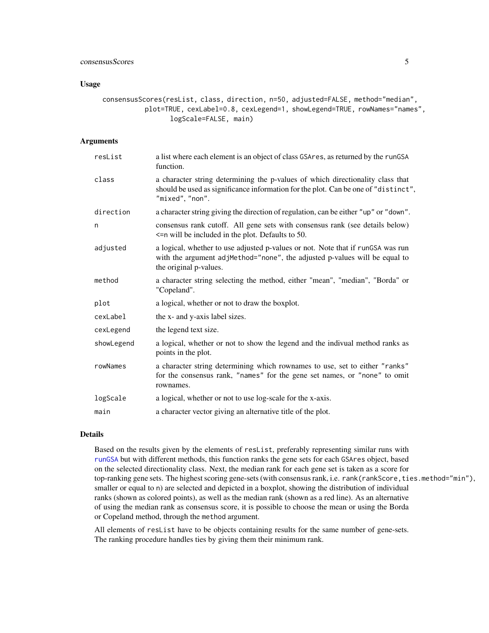#### Usage

consensusScores(resList, class, direction, n=50, adjusted=FALSE, method="median", plot=TRUE, cexLabel=0.8, cexLegend=1, showLegend=TRUE, rowNames="names", logScale=FALSE, main)

#### Arguments

| resList    | a list where each element is an object of class GSAres, as returned by the runGSA<br>function.                                                                                          |
|------------|-----------------------------------------------------------------------------------------------------------------------------------------------------------------------------------------|
| class      | a character string determining the p-values of which directionality class that<br>should be used as significance information for the plot. Can be one of "distinct",<br>"mixed", "non". |
| direction  | a character string giving the direction of regulation, can be either "up" or "down".                                                                                                    |
| n          | consensus rank cutoff. All gene sets with consensus rank (see details below)<br>$\le$ n will be included in the plot. Defaults to 50.                                                   |
| adjusted   | a logical, whether to use adjusted p-values or not. Note that if runGSA was run<br>with the argument adjMethod="none", the adjusted p-values will be equal to<br>the original p-values. |
| method     | a character string selecting the method, either "mean", "median", "Borda" or<br>"Copeland".                                                                                             |
| plot       | a logical, whether or not to draw the boxplot.                                                                                                                                          |
| cexLabel   | the x- and y-axis label sizes.                                                                                                                                                          |
| cexLegend  | the legend text size.                                                                                                                                                                   |
| showLegend | a logical, whether or not to show the legend and the indivual method ranks as<br>points in the plot.                                                                                    |
| rowNames   | a character string determining which rownames to use, set to either "ranks"<br>for the consensus rank, "names" for the gene set names, or "none" to omit<br>rownames.                   |
| logScale   | a logical, whether or not to use log-scale for the x-axis.                                                                                                                              |
| main       | a character vector giving an alternative title of the plot.                                                                                                                             |

#### Details

Based on the results given by the elements of resList, preferably representing similar runs with [runGSA](#page-21-1) but with different methods, this function ranks the gene sets for each GSAres object, based on the selected directionality class. Next, the median rank for each gene set is taken as a score for top-ranking gene sets. The highest scoring gene-sets (with consensus rank, i.e. rank(rankScore, ties.method="min"), smaller or equal to n) are selected and depicted in a boxplot, showing the distribution of individual ranks (shown as colored points), as well as the median rank (shown as a red line). As an alternative of using the median rank as consensus score, it is possible to choose the mean or using the Borda or Copeland method, through the method argument.

All elements of resList have to be objects containing results for the same number of gene-sets. The ranking procedure handles ties by giving them their minimum rank.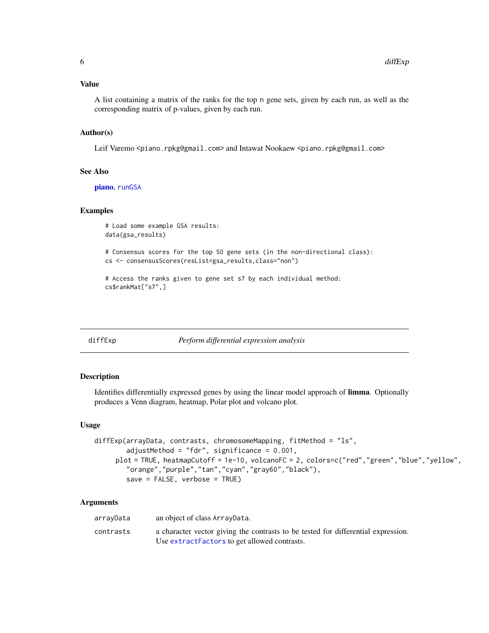#### <span id="page-5-0"></span>Value

A list containing a matrix of the ranks for the top n gene sets, given by each run, as well as the corresponding matrix of p-values, given by each run.

#### Author(s)

Leif Varemo <piano.rpkg@gmail.com> and Intawat Nookaew <piano.rpkg@gmail.com>

# See Also

[piano](#page-1-1), [runGSA](#page-21-1)

#### Examples

```
# Load some example GSA results:
data(gsa_results)
```
# Consensus scores for the top 50 gene sets (in the non-directional class): cs <- consensusScores(resList=gsa\_results,class="non")

```
# Access the ranks given to gene set s7 by each individual method:
cs$rankMat["s7",]
```

```
diffExp Perform differential expression analysis
```
# Description

Identifies differentially expressed genes by using the linear model approach of limma. Optionally produces a Venn diagram, heatmap, Polar plot and volcano plot.

#### Usage

```
diffExp(arrayData, contrasts, chromosomeMapping, fitMethod = "ls",
        adjustMethod = "fdr", significance = 0.001,
     plot = TRUE, heatmapCutoff = 1e-10, volcanoFC = 2, colors=c("red","green","blue","yellow",
        "orange","purple","tan","cyan","gray60","black"),
        save = FALSE, verbose = TRUE)
```

| arrayData | an object of class ArrayData.                                                     |
|-----------|-----------------------------------------------------------------------------------|
| contrasts | a character vector giving the contrasts to be tested for differential expression. |
|           | Use extract Factors to get allowed contrasts.                                     |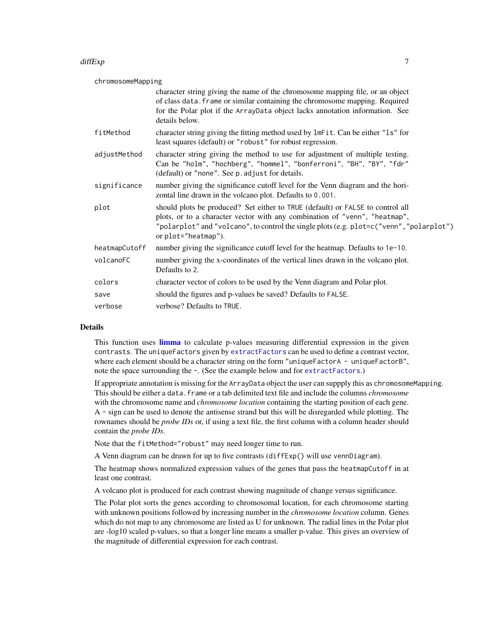#### diffExp 7

chromosomeMapping

|               | character string giving the name of the chromosome mapping file, or an object<br>of class data. frame or similar containing the chromosome mapping. Required<br>for the Polar plot if the ArrayData object lacks annotation information. See<br>details below.                  |
|---------------|---------------------------------------------------------------------------------------------------------------------------------------------------------------------------------------------------------------------------------------------------------------------------------|
| fitMethod     | character string giving the fitting method used by lmFit. Can be either "ls" for<br>least squares (default) or "robust" for robust regression.                                                                                                                                  |
| adjustMethod  | character string giving the method to use for adjustment of multiple testing.<br>Can be "holm", "hochberg", "hommel", "bonferroni", "BH", "BY", "fdr"<br>(default) or "none". See p. adjust for details.                                                                        |
| significance  | number giving the significance cutoff level for the Venn diagram and the hori-<br>zontal line drawn in the volcano plot. Defaults to 0.001.                                                                                                                                     |
| plot          | should plots be produced? Set either to TRUE (default) or FALSE to control all<br>plots, or to a character vector with any combination of "venn", "heatmap",<br>"polarplot" and "volcano", to control the single plots (e.g. plot=c("venn", "polarplot")<br>or plot="heatmap"). |
| heatmapCutoff | number giving the significance cutoff level for the heatmap. Defaults to 1e-10.                                                                                                                                                                                                 |
| volcanoFC     | number giving the x-coordinates of the vertical lines drawn in the volcano plot.<br>Defaults to 2.                                                                                                                                                                              |
| colors        | character vector of colors to be used by the Venn diagram and Polar plot.                                                                                                                                                                                                       |
| save          | should the figures and p-values be saved? Defaults to FALSE.                                                                                                                                                                                                                    |
| verbose       | verbose? Defaults to TRUE.                                                                                                                                                                                                                                                      |

#### Details

This function uses [limma](#page-0-0) to calculate p-values measuring differential expression in the given contrasts. The uniqueFactors given by [extractFactors](#page-8-1) can be used to define a contrast vector, where each element should be a character string on the form "uniqueFactorA - uniqueFactorB", note the space surrounding the  $-$ . (See the example below and for [extractFactors](#page-8-1).)

If appropriate annotation is missing for the ArrayData object the user can suppply this as chromosomeMapping. This should be either a data.frame or a tab delimited text file and include the columns *chromosome* with the chromosome name and *chromosome location* containing the starting position of each gene. A - sign can be used to denote the antisense strand but this will be disregarded while plotting. The rownames should be *probe IDs* or, if using a text file, the first column with a column header should contain the *probe IDs*.

Note that the fitMethod="robust" may need longer time to run.

A Venn diagram can be drawn for up to five contrasts (diffExp() will use vennDiagram).

The heatmap shows normalized expression values of the genes that pass the heatmapCutoff in at least one contrast.

A volcano plot is produced for each contrast showing magnitude of change versus significance.

The Polar plot sorts the genes according to chromosomal location, for each chromosome starting with unknown positions followed by increasing number in the *chromosome location* column. Genes which do not map to any chromosome are listed as U for unknown. The radial lines in the Polar plot are -log10 scaled p-values, so that a longer line means a smaller p-value. This gives an overview of the magnitude of differential expression for each contrast.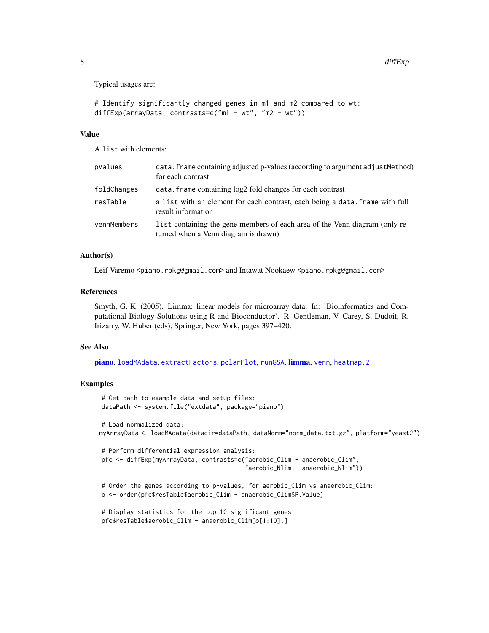Typical usages are:

```
# Identify significantly changed genes in m1 and m2 compared to wt:
diffExp(arrayData, contrasts=c("m1 - wt", "m2 - wt"))
```
#### Value

A list with elements:

| pValues     | data. frame containing adjusted p-values (according to argument adjust Method)<br>for each contrast                 |
|-------------|---------------------------------------------------------------------------------------------------------------------|
| foldChanges | data. frame containing $log2$ fold changes for each contrast                                                        |
| resTable    | a list with an element for each contrast, each being a data. Frame with full<br>result information                  |
| vennMembers | list containing the gene members of each area of the Venn diagram (only re-<br>turned when a Venn diagram is drawn) |

# Author(s)

Leif Varemo <piano.rpkg@gmail.com> and Intawat Nookaew <piano.rpkg@gmail.com>

#### References

Smyth, G. K. (2005). Limma: linear models for microarray data. In: 'Bioinformatics and Computational Biology Solutions using R and Bioconductor'. R. Gentleman, V. Carey, S. Dudoit, R. Irizarry, W. Huber (eds), Springer, New York, pages 397–420.

#### See Also

[piano](#page-1-1), [loadMAdata](#page-15-1), [extractFactors](#page-8-1), [polarPlot](#page-19-1), [runGSA](#page-21-1), [limma](#page-0-0), [venn](#page-0-0), [heatmap.2](#page-0-0)

#### Examples

```
# Get path to example data and setup files:
dataPath <- system.file("extdata", package="piano")
# Load normalized data:
myArrayData <- loadMAdata(datadir=dataPath, dataNorm="norm_data.txt.gz", platform="yeast2")
# Perform differential expression analysis:
pfc <- diffExp(myArrayData, contrasts=c("aerobic_Clim - anaerobic_Clim",
                                         "aerobic_Nlim - anaerobic_Nlim"))
# Order the genes according to p-values, for aerobic_Clim vs anaerobic_Clim:
o <- order(pfc$resTable$aerobic_Clim - anaerobic_Clim$P.Value)
# Display statistics for the top 10 significant genes:
pfc$resTable$aerobic_Clim - anaerobic_Clim[o[1:10],]
```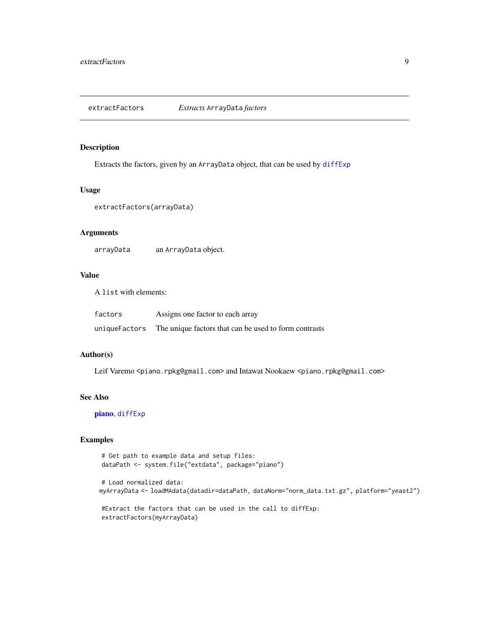<span id="page-8-1"></span><span id="page-8-0"></span>extractFactors *Extracts* ArrayData *factors*

#### Description

Extracts the factors, given by an ArrayData object, that can be used by [diffExp](#page-5-1)

#### Usage

```
extractFactors(arrayData)
```
# Arguments

arrayData an ArrayData object.

# Value

A list with elements:

| factors       | Assigns one factor to each array                      |
|---------------|-------------------------------------------------------|
| uniqueFactors | The unique factors that can be used to form contrasts |

#### Author(s)

Leif Varemo <piano.rpkg@gmail.com> and Intawat Nookaew <piano.rpkg@gmail.com>

#### See Also

[piano](#page-1-1), [diffExp](#page-5-1)

# Examples

```
# Get path to example data and setup files:
dataPath <- system.file("extdata", package="piano")
```

```
# Load normalized data:
myArrayData <- loadMAdata(datadir=dataPath, dataNorm="norm_data.txt.gz", platform="yeast2")
```
#Extract the factors that can be used in the call to diffExp: extractFactors(myArrayData)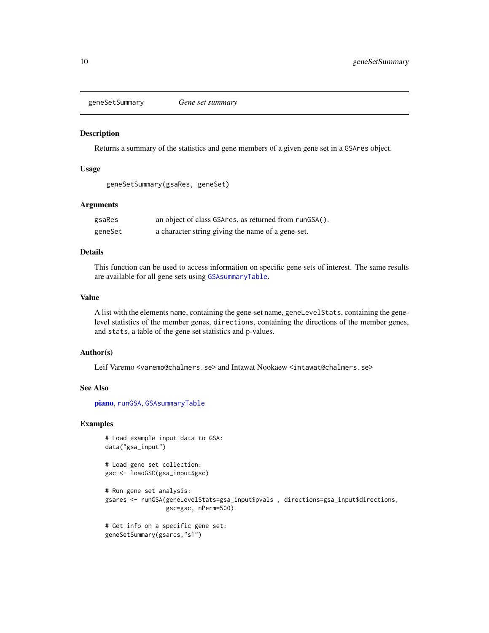<span id="page-9-1"></span><span id="page-9-0"></span>geneSetSummary *Gene set summary*

#### Description

Returns a summary of the statistics and gene members of a given gene set in a GSAres object.

#### Usage

```
geneSetSummary(gsaRes, geneSet)
```
#### Arguments

| gsaRes  | an object of class GSAres, as returned from runGSA(). |
|---------|-------------------------------------------------------|
| geneSet | a character string giving the name of a gene-set.     |

# Details

This function can be used to access information on specific gene sets of interest. The same results are available for all gene sets using [GSAsummaryTable](#page-11-1).

#### Value

A list with the elements name, containing the gene-set name, geneLevelStats, containing the genelevel statistics of the member genes, directions, containing the directions of the member genes, and stats, a table of the gene set statistics and p-values.

#### Author(s)

Leif Varemo <varemo@chalmers.se> and Intawat Nookaew <intawat@chalmers.se>

#### See Also

[piano](#page-1-1), [runGSA](#page-21-1), [GSAsummaryTable](#page-11-1)

#### Examples

```
# Load example input data to GSA:
data("gsa_input")
```
# Load gene set collection: gsc <- loadGSC(gsa\_input\$gsc)

```
# Run gene set analysis:
gsares <- runGSA(geneLevelStats=gsa_input$pvals , directions=gsa_input$directions,
                gsc=gsc, nPerm=500)
```

```
# Get info on a specific gene set:
geneSetSummary(gsares,"s1")
```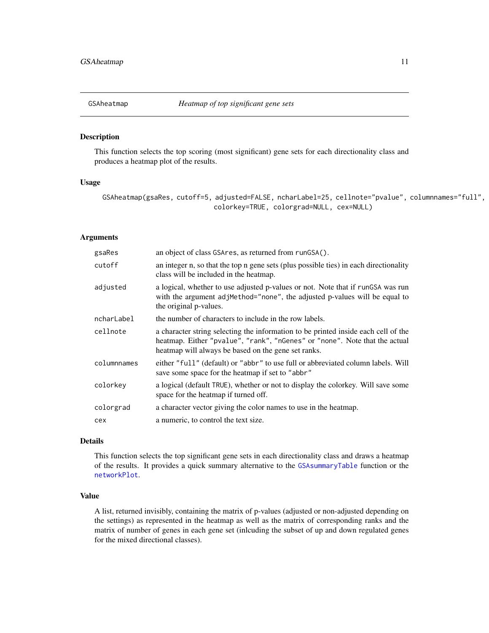<span id="page-10-1"></span><span id="page-10-0"></span>

#### Description

This function selects the top scoring (most significant) gene sets for each directionality class and produces a heatmap plot of the results.

#### Usage

```
GSAheatmap(gsaRes, cutoff=5, adjusted=FALSE, ncharLabel=25, cellnote="pvalue", columnnames="full",
                            colorkey=TRUE, colorgrad=NULL, cex=NULL)
```
# Arguments

| gsaRes      | an object of class GSAres, as returned from runGSA().                                                                                                                                                                   |
|-------------|-------------------------------------------------------------------------------------------------------------------------------------------------------------------------------------------------------------------------|
| cutoff      | an integer n, so that the top n gene sets (plus possible ties) in each directionality<br>class will be included in the heatmap.                                                                                         |
| adjusted    | a logical, whether to use adjusted p-values or not. Note that if rungs was run<br>with the argument adjMethod="none", the adjusted p-values will be equal to<br>the original p-values.                                  |
| ncharLabel  | the number of characters to include in the row labels.                                                                                                                                                                  |
| cellnote    | a character string selecting the information to be printed inside each cell of the<br>heatmap. Either "pvalue", "rank", "nGenes" or "none". Note that the actual<br>heatmap will always be based on the gene set ranks. |
| columnnames | either "full" (default) or "abbr" to use full or abbreviated column labels. Will<br>save some space for the heatmap if set to "abbr"                                                                                    |
| colorkey    | a logical (default TRUE), whether or not to display the colorkey. Will save some<br>space for the heatmap if turned off.                                                                                                |
| colorgrad   | a character vector giving the color names to use in the heatmap.                                                                                                                                                        |
| cex         | a numeric, to control the text size.                                                                                                                                                                                    |

#### Details

This function selects the top significant gene sets in each directionality class and draws a heatmap of the results. It provides a quick summary alternative to the [GSAsummaryTable](#page-11-1) function or the [networkPlot](#page-17-1).

#### Value

A list, returned invisibly, containing the matrix of p-values (adjusted or non-adjusted depending on the settings) as represented in the heatmap as well as the matrix of corresponding ranks and the matrix of number of genes in each gene set (inlcuding the subset of up and down regulated genes for the mixed directional classes).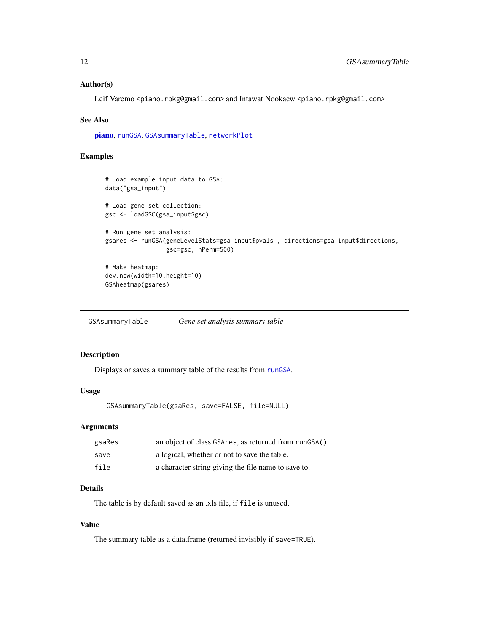#### <span id="page-11-0"></span>Author(s)

Leif Varemo <piano.rpkg@gmail.com> and Intawat Nookaew <piano.rpkg@gmail.com>

#### See Also

[piano](#page-1-1), [runGSA](#page-21-1), [GSAsummaryTable](#page-11-1), [networkPlot](#page-17-1)

#### Examples

```
# Load example input data to GSA:
data("gsa_input")
# Load gene set collection:
gsc <- loadGSC(gsa_input$gsc)
# Run gene set analysis:
gsares <- runGSA(geneLevelStats=gsa_input$pvals , directions=gsa_input$directions,
                 gsc=gsc, nPerm=500)
# Make heatmap:
dev.new(width=10,height=10)
GSAheatmap(gsares)
```
<span id="page-11-1"></span>GSAsummaryTable *Gene set analysis summary table*

#### Description

Displays or saves a summary table of the results from [runGSA](#page-21-1).

# Usage

```
GSAsummaryTable(gsaRes, save=FALSE, file=NULL)
```
## Arguments

| gsaRes | an object of class GSAres, as returned from runGSA(). |
|--------|-------------------------------------------------------|
| save   | a logical, whether or not to save the table.          |
| file   | a character string giving the file name to save to.   |

# Details

The table is by default saved as an .xls file, if file is unused.

# Value

The summary table as a data.frame (returned invisibly if save=TRUE).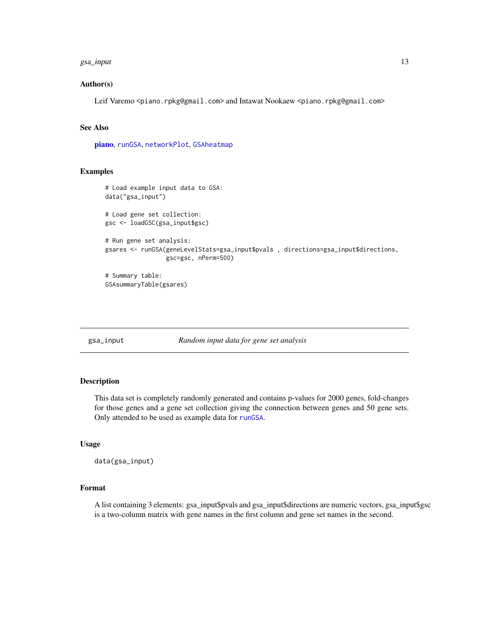#### <span id="page-12-0"></span>gsa\_input 13

#### Author(s)

Leif Varemo <piano.rpkg@gmail.com> and Intawat Nookaew <piano.rpkg@gmail.com>

# See Also

[piano](#page-1-1), [runGSA](#page-21-1), [networkPlot](#page-17-1), [GSAheatmap](#page-10-1)

# Examples

```
# Load example input data to GSA:
data("gsa_input")
# Load gene set collection:
gsc <- loadGSC(gsa_input$gsc)
# Run gene set analysis:
gsares <- runGSA(geneLevelStats=gsa_input$pvals , directions=gsa_input$directions,
                 gsc=gsc, nPerm=500)
# Summary table:
GSAsummaryTable(gsares)
```
gsa\_input *Random input data for gene set analysis*

#### Description

This data set is completely randomly generated and contains p-values for 2000 genes, fold-changes for those genes and a gene set collection giving the connection between genes and 50 gene sets. Only attended to be used as example data for [runGSA](#page-21-1).

# Usage

```
data(gsa_input)
```
# Format

A list containing 3 elements: gsa\_input\$pvals and gsa\_input\$directions are numeric vectors, gsa\_input\$gsc is a two-column matrix with gene names in the first column and gene set names in the second.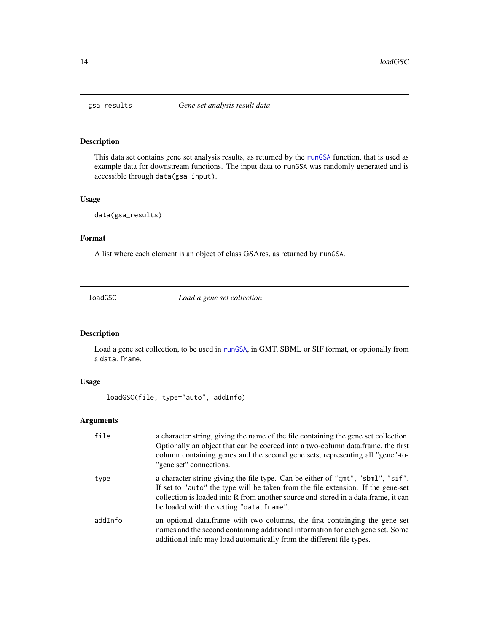<span id="page-13-0"></span>

# Description

This data set contains gene set analysis results, as returned by the [runGSA](#page-21-1) function, that is used as example data for downstream functions. The input data to runGSA was randomly generated and is accessible through data(gsa\_input).

#### Usage

data(gsa\_results)

#### Format

A list where each element is an object of class GSAres, as returned by runGSA.

<span id="page-13-1"></span>loadGSC *Load a gene set collection*

# Description

Load a gene set collection, to be used in [runGSA](#page-21-1), in GMT, SBML or SIF format, or optionally from a data.frame.

# Usage

loadGSC(file, type="auto", addInfo)

| file    | a character string, giving the name of the file containing the gene set collection.<br>Optionally an object that can be coerced into a two-column data. frame, the first<br>column containing genes and the second gene sets, representing all "gene"-to-<br>"gene set" connections.                   |
|---------|--------------------------------------------------------------------------------------------------------------------------------------------------------------------------------------------------------------------------------------------------------------------------------------------------------|
| type    | a character string giving the file type. Can be either of "gmt", "sbml", "sif".<br>If set to "auto" the type will be taken from the file extension. If the gene-set<br>collection is loaded into R from another source and stored in a data.frame, it can<br>be loaded with the setting "data. frame". |
| addInfo | an optional data.frame with two columns, the first containging the gene set<br>names and the second containing additional information for each gene set. Some<br>additional info may load automatically from the different file types.                                                                 |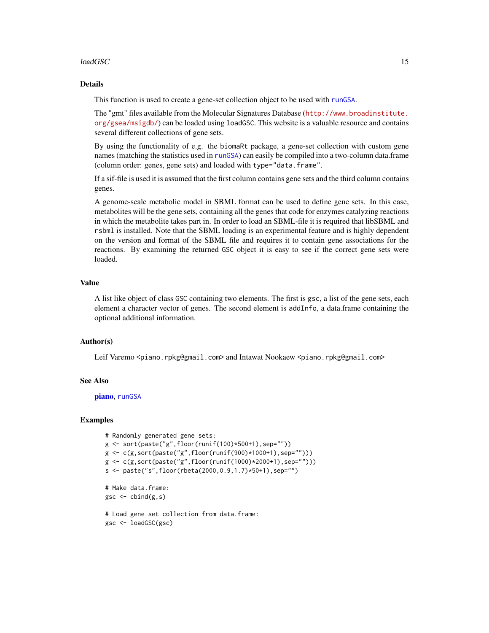#### $\log$ do $\log$ C 15

## Details

This function is used to create a gene-set collection object to be used with [runGSA](#page-21-1).

The "gmt" files available from the Molecular Signatures Database ([http://www.broadinstitute.](http://www.broadinstitute.org/gsea/msigdb/) [org/gsea/msigdb/](http://www.broadinstitute.org/gsea/msigdb/)) can be loaded using loadGSC. This website is a valuable resource and contains several different collections of gene sets.

By using the functionality of e.g. the biomaRt package, a gene-set collection with custom gene names (matching the statistics used in [runGSA](#page-21-1)) can easily be compiled into a two-column data.frame (column order: genes, gene sets) and loaded with type="data.frame".

If a sif-file is used it is assumed that the first column contains gene sets and the third column contains genes.

A genome-scale metabolic model in SBML format can be used to define gene sets. In this case, metabolites will be the gene sets, containing all the genes that code for enzymes catalyzing reactions in which the metabolite takes part in. In order to load an SBML-file it is required that libSBML and rsbml is installed. Note that the SBML loading is an experimental feature and is highly dependent on the version and format of the SBML file and requires it to contain gene associations for the reactions. By examining the returned GSC object it is easy to see if the correct gene sets were loaded.

#### Value

A list like object of class GSC containing two elements. The first is gsc, a list of the gene sets, each element a character vector of genes. The second element is addInfo, a data.frame containing the optional additional information.

#### Author(s)

Leif Varemo <piano.rpkg@gmail.com> and Intawat Nookaew <piano.rpkg@gmail.com>

#### See Also

[piano](#page-1-1), [runGSA](#page-21-1)

#### Examples

```
# Randomly generated gene sets:
g <- sort(paste("g",floor(runif(100)*500+1),sep=""))
g <- c(g,sort(paste("g",floor(runif(900)*1000+1),sep="")))
g \leftarrow c(g, sort(paste("g", floor(runif(1000)*2000+1), sep=""))s <- paste("s",floor(rbeta(2000,0.9,1.7)*50+1),sep="")
# Make data.frame:
gsc <- cbind(g,s)
# Load gene set collection from data.frame:
gsc <- loadGSC(gsc)
```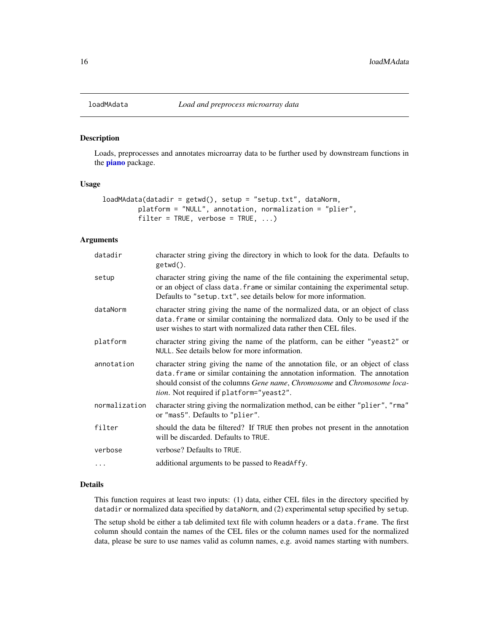<span id="page-15-1"></span><span id="page-15-0"></span>

#### Description

Loads, preprocesses and annotates microarray data to be further used by downstream functions in the **[piano](#page-1-1)** package.

# Usage

```
loadMAdata(datadir = getwd(), setup = "setup.txt", dataNorm,
        platform = "NULL", annotation, normalization = "plier",
        filter = TRUE, verbose = TRUE, ...)
```
# Arguments

| datadir       | character string giving the directory in which to look for the data. Defaults to<br>getwd().                                                                                                                                                                                                   |
|---------------|------------------------------------------------------------------------------------------------------------------------------------------------------------------------------------------------------------------------------------------------------------------------------------------------|
| setup         | character string giving the name of the file containing the experimental setup,<br>or an object of class data. frame or similar containing the experimental setup.<br>Defaults to "setup.txt", see details below for more information.                                                         |
| dataNorm      | character string giving the name of the normalized data, or an object of class<br>data. frame or similar containing the normalized data. Only to be used if the<br>user wishes to start with normalized data rather then CEL files.                                                            |
| platform      | character string giving the name of the platform, can be either "yeast2" or<br>NULL. See details below for more information.                                                                                                                                                                   |
| annotation    | character string giving the name of the annotation file, or an object of class<br>data. frame or similar containing the annotation information. The annotation<br>should consist of the columns Gene name, Chromosome and Chromosome loca-<br><i>tion</i> . Not required if platform="yeast2". |
| normalization | character string giving the normalization method, can be either "plier", "rma"<br>or "mas5". Defaults to "plier".                                                                                                                                                                              |
| filter        | should the data be filtered? If TRUE then probes not present in the annotation<br>will be discarded. Defaults to TRUE.                                                                                                                                                                         |
| verbose       | verbose? Defaults to TRUE.                                                                                                                                                                                                                                                                     |
| .             | additional arguments to be passed to ReadAffy.                                                                                                                                                                                                                                                 |

#### Details

This function requires at least two inputs: (1) data, either CEL files in the directory specified by datadir or normalized data specified by dataNorm, and (2) experimental setup specified by setup.

The setup shold be either a tab delimited text file with column headers or a data.frame. The first column should contain the names of the CEL files or the column names used for the normalized data, please be sure to use names valid as column names, e.g. avoid names starting with numbers.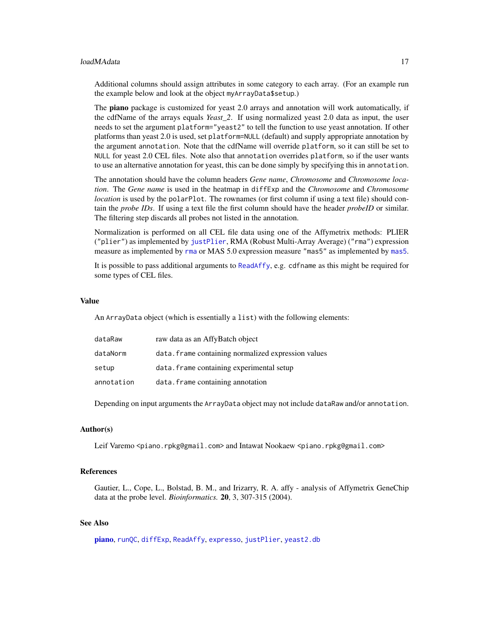#### loadMAdata 17

Additional columns should assign attributes in some category to each array. (For an example run the example below and look at the object myArrayData\$setup.)

The **piano** package is customized for yeast 2.0 arrays and annotation will work automatically, if the cdfName of the arrays equals *Yeast\_2*. If using normalized yeast 2.0 data as input, the user needs to set the argument platform="yeast2" to tell the function to use yeast annotation. If other platforms than yeast 2.0 is used, set platform=NULL (default) and supply appropriate annotation by the argument annotation. Note that the cdfName will override platform, so it can still be set to NULL for yeast 2.0 CEL files. Note also that annotation overrides platform, so if the user wants to use an alternative annotation for yeast, this can be done simply by specifying this in annotation.

The annotation should have the column headers *Gene name*, *Chromosome* and *Chromosome location*. The *Gene name* is used in the heatmap in diffExp and the *Chromosome* and *Chromosome location* is used by the polarPlot. The rownames (or first column if using a text file) should contain the *probe IDs*. If using a text file the first column should have the header *probeID* or similar. The filtering step discards all probes not listed in the annotation.

Normalization is performed on all CEL file data using one of the Affymetrix methods: PLIER ("plier") as implemented by [justPlier](#page-0-0), RMA (Robust Multi-Array Average) ("rma") expression measure as implemented by [rma](#page-0-0) or MAS 5.0 expression measure "mas5" as implemented by [mas5](#page-0-0).

It is possible to pass additional arguments to [ReadAffy](#page-0-0), e.g. cdfname as this might be required for some types of CEL files.

#### Value

An ArrayData object (which is essentially a list) with the following elements:

| dataRaw    | raw data as an AffyBatch object                     |
|------------|-----------------------------------------------------|
| dataNorm   | data. frame containing normalized expression values |
| setup      | data. frame containing experimental setup           |
| annotation | data. frame containing annotation                   |

Depending on input arguments the ArrayData object may not include dataRaw and/or annotation.

# Author(s)

Leif Varemo <piano.rpkg@gmail.com> and Intawat Nookaew <piano.rpkg@gmail.com>

#### References

Gautier, L., Cope, L., Bolstad, B. M., and Irizarry, R. A. affy - analysis of Affymetrix GeneChip data at the probe level. *Bioinformatics.* 20, 3, 307-315 (2004).

#### See Also

[piano](#page-1-1), [runQC](#page-27-1), [diffExp](#page-5-1), [ReadAffy](#page-0-0), [expresso](#page-0-0), [justPlier](#page-0-0), [yeast2.db](#page-0-0)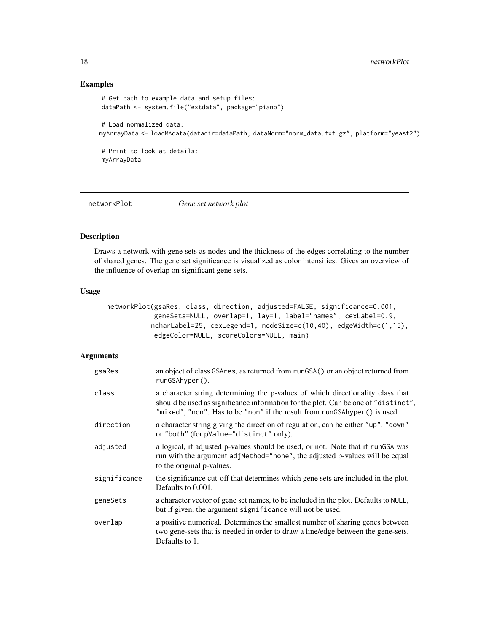# Examples

```
# Get path to example data and setup files:
dataPath <- system.file("extdata", package="piano")
# Load normalized data:
myArrayData <- loadMAdata(datadir=dataPath, dataNorm="norm_data.txt.gz", platform="yeast2")
# Print to look at details:
myArrayData
```
<span id="page-17-1"></span>

```
networkPlot Gene set network plot
```
# Description

Draws a network with gene sets as nodes and the thickness of the edges correlating to the number of shared genes. The gene set significance is visualized as color intensities. Gives an overview of the influence of overlap on significant gene sets.

#### Usage

```
networkPlot(gsaRes, class, direction, adjusted=FALSE, significance=0.001,
            geneSets=NULL, overlap=1, lay=1, label="names", cexLabel=0.9,
           ncharLabel=25, cexLegend=1, nodeSize=c(10,40), edgeWidth=c(1,15),
            edgeColor=NULL, scoreColors=NULL, main)
```

| gsaRes       | an object of class GSAres, as returned from runGSA() or an object returned from<br>$runGSAhyper()$ .                                                                                                                                              |
|--------------|---------------------------------------------------------------------------------------------------------------------------------------------------------------------------------------------------------------------------------------------------|
| class        | a character string determining the p-values of which directionality class that<br>should be used as significance information for the plot. Can be one of "distinct",<br>"mixed", "non". Has to be "non" if the result from runGSAhyper() is used. |
| direction    | a character string giving the direction of regulation, can be either "up", "down"<br>or "both" (for pValue="distinct" only).                                                                                                                      |
| adjusted     | a logical, if adjusted p-values should be used, or not. Note that if rungs was<br>run with the argument adjMethod="none", the adjusted p-values will be equal<br>to the original p-values.                                                        |
| significance | the significance cut-off that determines which gene sets are included in the plot.<br>Defaults to 0.001.                                                                                                                                          |
| geneSets     | a character vector of gene set names, to be included in the plot. Defaults to NULL,<br>but if given, the argument significance will not be used.                                                                                                  |
| overlap      | a positive numerical. Determines the smallest number of sharing genes between<br>two gene-sets that is needed in order to draw a line/edge between the gene-sets.<br>Defaults to 1.                                                               |

<span id="page-17-0"></span>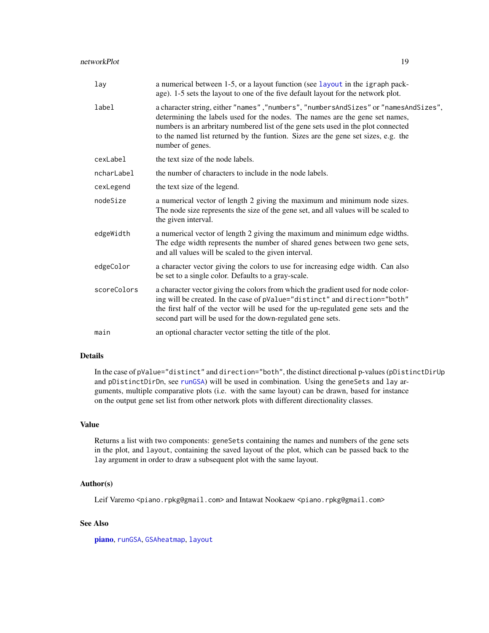| lay         | a numerical between 1-5, or a layout function (see layout in the igraph pack-<br>age). 1-5 sets the layout to one of the five default layout for the network plot.                                                                                                                                                                                                 |  |
|-------------|--------------------------------------------------------------------------------------------------------------------------------------------------------------------------------------------------------------------------------------------------------------------------------------------------------------------------------------------------------------------|--|
| label       | a character string, either "names", "numbers", "numbersAndSizes" or "namesAndSizes",<br>determining the labels used for the nodes. The names are the gene set names,<br>numbers is an arbritary numbered list of the gene sets used in the plot connected<br>to the named list returned by the funtion. Sizes are the gene set sizes, e.g. the<br>number of genes. |  |
| cexLabel    | the text size of the node labels.                                                                                                                                                                                                                                                                                                                                  |  |
| ncharLabel  | the number of characters to include in the node labels.                                                                                                                                                                                                                                                                                                            |  |
| cexLegend   | the text size of the legend.                                                                                                                                                                                                                                                                                                                                       |  |
| nodeSize    | a numerical vector of length 2 giving the maximum and minimum node sizes.<br>The node size represents the size of the gene set, and all values will be scaled to<br>the given interval.                                                                                                                                                                            |  |
| edgeWidth   | a numerical vector of length 2 giving the maximum and minimum edge widths.<br>The edge width represents the number of shared genes between two gene sets,<br>and all values will be scaled to the given interval.                                                                                                                                                  |  |
| edgeColor   | a character vector giving the colors to use for increasing edge width. Can also<br>be set to a single color. Defaults to a gray-scale.                                                                                                                                                                                                                             |  |
| scoreColors | a character vector giving the colors from which the gradient used for node color-<br>ing will be created. In the case of pValue="distinct" and direction="both"<br>the first half of the vector will be used for the up-regulated gene sets and the<br>second part will be used for the down-regulated gene sets.                                                  |  |
| main        | an optional character vector setting the title of the plot.                                                                                                                                                                                                                                                                                                        |  |

# Details

In the case of pValue="distinct" and direction="both", the distinct directional p-values (pDistinctDirUp and pDistinctDirDn, see [runGSA](#page-21-1)) will be used in combination. Using the geneSets and lay arguments, multiple comparative plots (i.e. with the same layout) can be drawn, based for instance on the output gene set list from other network plots with different directionality classes.

#### Value

Returns a list with two components: geneSets containing the names and numbers of the gene sets in the plot, and layout, containing the saved layout of the plot, which can be passed back to the lay argument in order to draw a subsequent plot with the same layout.

# Author(s)

Leif Varemo <piano.rpkg@gmail.com> and Intawat Nookaew <piano.rpkg@gmail.com>

# See Also

[piano](#page-1-1), [runGSA](#page-21-1), [GSAheatmap](#page-10-1), [layout](#page-0-0)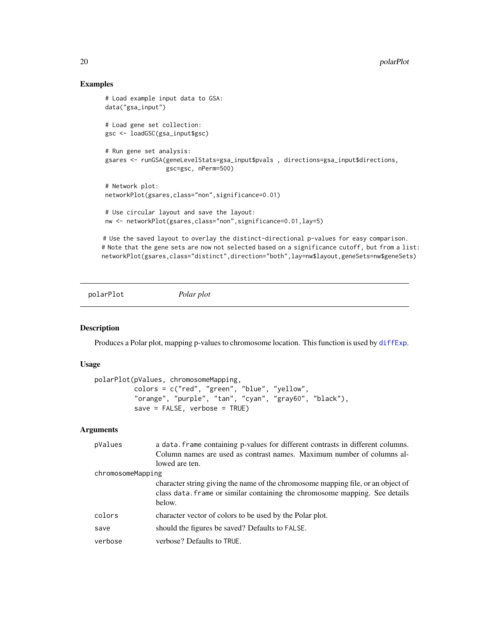# Examples

```
# Load example input data to GSA:
data("gsa_input")
# Load gene set collection:
gsc <- loadGSC(gsa_input$gsc)
# Run gene set analysis:
gsares <- runGSA(geneLevelStats=gsa_input$pvals , directions=gsa_input$directions,
                 gsc=gsc, nPerm=500)
# Network plot:
networkPlot(gsares,class="non",significance=0.01)
# Use circular layout and save the layout:
nw <- networkPlot(gsares,class="non",significance=0.01,lay=5)
# Use the saved layout to overlay the distinct-directional p-values for easy comparison.
```
# Note that the gene sets are now not selected based on a significance cutoff, but from a list: networkPlot(gsares,class="distinct",direction="both",lay=nw\$layout,geneSets=nw\$geneSets)

<span id="page-19-1"></span>polarPlot *Polar plot*

## Description

Produces a Polar plot, mapping p-values to chromosome location. This function is used by [diffExp](#page-5-1).

#### Usage

```
polarPlot(pValues, chromosomeMapping,
         colors = c("red", "green", "blue", "yellow",
          "orange", "purple", "tan", "cyan", "gray60", "black"),
          save = FALSE, verbose = TRUE)
```

| pValues           | a data. frame containing p-values for different contrasts in different columns.<br>Column names are used as contrast names. Maximum number of columns al-                 |  |
|-------------------|---------------------------------------------------------------------------------------------------------------------------------------------------------------------------|--|
|                   | lowed are ten.                                                                                                                                                            |  |
| chromosomeMapping |                                                                                                                                                                           |  |
|                   | character string giving the name of the chromosome mapping file, or an object of<br>class data. frame or similar containing the chromosome mapping. See details<br>below. |  |
| colors            | character vector of colors to be used by the Polar plot.                                                                                                                  |  |
| save              | should the figures be saved? Defaults to FALSE.                                                                                                                           |  |
| verbose           | verbose? Defaults to TRUE.                                                                                                                                                |  |

<span id="page-19-0"></span>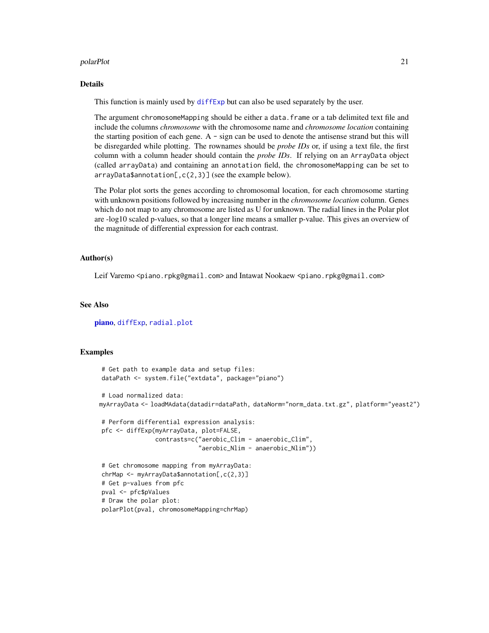#### polarPlot 21

#### Details

This function is mainly used by diffexp but can also be used separately by the user.

The argument chromosomeMapping should be either a data.frame or a tab delimited text file and include the columns *chromosome* with the chromosome name and *chromosome location* containing the starting position of each gene. A - sign can be used to denote the antisense strand but this will be disregarded while plotting. The rownames should be *probe IDs* or, if using a text file, the first column with a column header should contain the *probe IDs*. If relying on an ArrayData object (called arrayData) and containing an annotation field, the chromosomeMapping can be set to arrayData\$annotation[,c(2,3)] (see the example below).

The Polar plot sorts the genes according to chromosomal location, for each chromosome starting with unknown positions followed by increasing number in the *chromosome location* column. Genes which do not map to any chromosome are listed as U for unknown. The radial lines in the Polar plot are -log10 scaled p-values, so that a longer line means a smaller p-value. This gives an overview of the magnitude of differential expression for each contrast.

### Author(s)

Leif Varemo <piano.rpkg@gmail.com> and Intawat Nookaew <piano.rpkg@gmail.com>

#### See Also

[piano](#page-1-1), [diffExp](#page-5-1), [radial.plot](#page-0-0)

#### Examples

```
# Get path to example data and setup files:
dataPath <- system.file("extdata", package="piano")
# Load normalized data:
myArrayData <- loadMAdata(datadir=dataPath, dataNorm="norm_data.txt.gz", platform="yeast2")
# Perform differential expression analysis:
pfc <- diffExp(myArrayData, plot=FALSE,
               contrasts=c("aerobic_Clim - anaerobic_Clim",
                            "aerobic_Nlim - anaerobic_Nlim"))
# Get chromosome mapping from myArrayData:
chrMap <- myArrayData$annotation[,c(2,3)]
# Get p-values from pfc
pval <- pfc$pValues
# Draw the polar plot:
polarPlot(pval, chromosomeMapping=chrMap)
```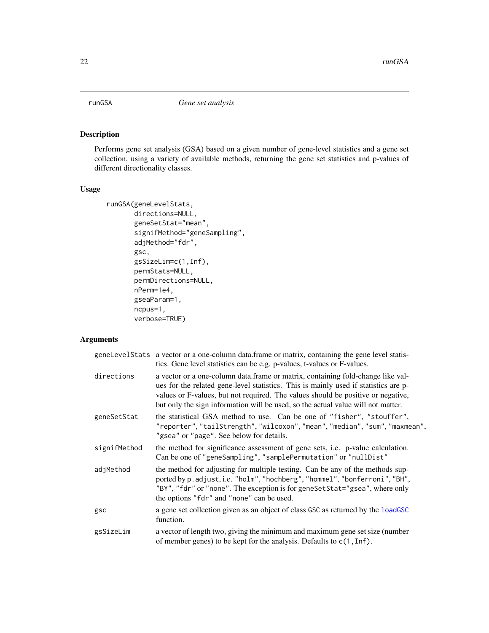<span id="page-21-1"></span><span id="page-21-0"></span>

# Description

Performs gene set analysis (GSA) based on a given number of gene-level statistics and a gene set collection, using a variety of available methods, returning the gene set statistics and p-values of different directionality classes.

# Usage

```
runGSA(geneLevelStats,
       directions=NULL,
       geneSetStat="mean",
       signifMethod="geneSampling",
       adjMethod="fdr",
       gsc,
       gsSizeLim=c(1,Inf),
       permStats=NULL,
       permDirections=NULL,
       nPerm=1e4,
       gseaParam=1,
       ncpus=1,
       verbose=TRUE)
```

|              | geneLevelStats a vector or a one-column data.frame or matrix, containing the gene level statis-<br>tics. Gene level statistics can be e.g. p-values, t-values or F-values.                                                                                                                                                                     |
|--------------|------------------------------------------------------------------------------------------------------------------------------------------------------------------------------------------------------------------------------------------------------------------------------------------------------------------------------------------------|
| directions   | a vector or a one-column data.frame or matrix, containing fold-change like val-<br>ues for the related gene-level statistics. This is mainly used if statistics are p-<br>values or F-values, but not required. The values should be positive or negative,<br>but only the sign information will be used, so the actual value will not matter. |
| geneSetStat  | the statistical GSA method to use. Can be one of "fisher", "stouffer",<br>"reporter", "tailStrength", "wilcoxon", "mean", "median", "sum", "maxmean",<br>"gsea" or "page". See below for details.                                                                                                                                              |
| signifMethod | the method for significance assessment of gene sets, i.e. p-value calculation.<br>Can be one of "geneSampling", "samplePermutation" or "nullDist"                                                                                                                                                                                              |
| adjMethod    | the method for adjusting for multiple testing. Can be any of the methods sup-<br>ported by p.adjust, i.e. "holm", "hochberg", "hommel", "bonferroni", "BH",<br>"BY", "fdr" or "none". The exception is for geneSetStat="gsea", where only<br>the options "fdr" and "none" can be used.                                                         |
| gsc          | a gene set collection given as an object of class GSC as returned by the loadGSC<br>function.                                                                                                                                                                                                                                                  |
| gsSizeLim    | a vector of length two, giving the minimum and maximum gene set size (number<br>of member genes) to be kept for the analysis. Defaults to $c(1, \text{Inf})$ .                                                                                                                                                                                 |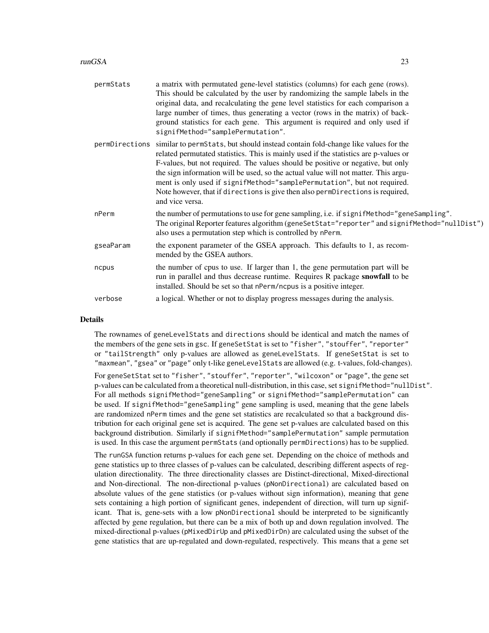#### runGSA 23

| permStats | a matrix with permutated gene-level statistics (columns) for each gene (rows).<br>This should be calculated by the user by randomizing the sample labels in the<br>original data, and recalculating the gene level statistics for each comparison a<br>large number of times, thus generating a vector (rows in the matrix) of back-<br>ground statistics for each gene. This argument is required and only used if<br>signifMethod="samplePermutation".                                                                                          |
|-----------|---------------------------------------------------------------------------------------------------------------------------------------------------------------------------------------------------------------------------------------------------------------------------------------------------------------------------------------------------------------------------------------------------------------------------------------------------------------------------------------------------------------------------------------------------|
|           | permDirections similar to permStats, but should instead contain fold-change like values for the<br>related permutated statistics. This is mainly used if the statistics are p-values or<br>F-values, but not required. The values should be positive or negative, but only<br>the sign information will be used, so the actual value will not matter. This argu-<br>ment is only used if signifMethod="samplePermutation", but not required.<br>Note however, that if directions is give then also permDirections is required,<br>and vice versa. |
| nPerm     | the number of permutations to use for gene sampling, i.e. if signifMethod="geneSampling".<br>The original Reporter features algorithm (geneSetStat="reporter" and signifMethod="nullDist")<br>also uses a permutation step which is controlled by nPerm.                                                                                                                                                                                                                                                                                          |
| gseaParam | the exponent parameter of the GSEA approach. This defaults to 1, as recom-<br>mended by the GSEA authors.                                                                                                                                                                                                                                                                                                                                                                                                                                         |
| ncpus     | the number of cpus to use. If larger than 1, the gene permutation part will be<br>run in parallel and thus decrease runtime. Requires R package snowfall to be<br>installed. Should be set so that nPerm/ncpus is a positive integer.                                                                                                                                                                                                                                                                                                             |
| verbose   | a logical. Whether or not to display progress messages during the analysis.                                                                                                                                                                                                                                                                                                                                                                                                                                                                       |

# **Details**

The rownames of geneLevelStats and directions should be identical and match the names of the members of the gene sets in gsc. If geneSetStat is set to "fisher", "stouffer", "reporter" or "tailStrength" only p-values are allowed as geneLevelStats. If geneSetStat is set to "maxmean", "gsea" or "page" only t-like geneLevelStats are allowed (e.g. t-values, fold-changes).

For geneSetStat set to "fisher", "stouffer", "reporter", "wilcoxon" or "page", the gene set p-values can be calculated from a theoretical null-distribution, in this case, set signifMethod="nullDist". For all methods signifMethod="geneSampling" or signifMethod="samplePermutation" can be used. If signifMethod="geneSampling" gene sampling is used, meaning that the gene labels are randomized nPerm times and the gene set statistics are recalculated so that a background distribution for each original gene set is acquired. The gene set p-values are calculated based on this background distribution. Similarly if signifMethod="samplePermutation" sample permutation is used. In this case the argument permStats (and optionally permDirections) has to be supplied.

The runGSA function returns p-values for each gene set. Depending on the choice of methods and gene statistics up to three classes of p-values can be calculated, describing different aspects of regulation directionality. The three directionality classes are Distinct-directional, Mixed-directional and Non-directional. The non-directional p-values (pNonDirectional) are calculated based on absolute values of the gene statistics (or p-values without sign information), meaning that gene sets containing a high portion of significant genes, independent of direction, will turn up significant. That is, gene-sets with a low pNonDirectional should be interpreted to be significantly affected by gene regulation, but there can be a mix of both up and down regulation involved. The mixed-directional p-values (pMixedDirUp and pMixedDirDn) are calculated using the subset of the gene statistics that are up-regulated and down-regulated, respectively. This means that a gene set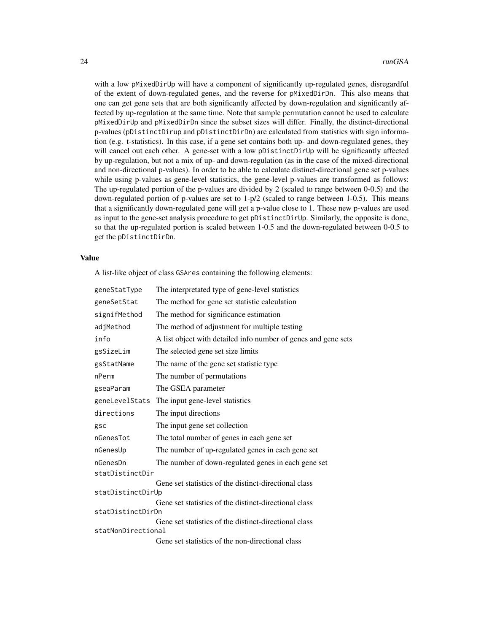with a low pMixedDirUp will have a component of significantly up-regulated genes, disregardful of the extent of down-regulated genes, and the reverse for pMixedDirDn. This also means that one can get gene sets that are both significantly affected by down-regulation and significantly affected by up-regulation at the same time. Note that sample permutation cannot be used to calculate pMixedDirUp and pMixedDirDn since the subset sizes will differ. Finally, the distinct-directional p-values (pDistinctDirup and pDistinctDirDn) are calculated from statistics with sign information (e.g. t-statistics). In this case, if a gene set contains both up- and down-regulated genes, they will cancel out each other. A gene-set with a low pDistinctDirUp will be significantly affected by up-regulation, but not a mix of up- and down-regulation (as in the case of the mixed-directional and non-directional p-values). In order to be able to calculate distinct-directional gene set p-values while using p-values as gene-level statistics, the gene-level p-values are transformed as follows: The up-regulated portion of the p-values are divided by 2 (scaled to range between 0-0.5) and the down-regulated portion of p-values are set to  $1-p/2$  (scaled to range between 1-0.5). This means that a significantly down-regulated gene will get a p-value close to 1. These new p-values are used as input to the gene-set analysis procedure to get pDistinctDirUp. Similarly, the opposite is done, so that the up-regulated portion is scaled between 1-0.5 and the down-regulated between 0-0.5 to get the pDistinctDirDn.

#### Value

A list-like object of class GSAres containing the following elements:

| geneStatType       | The interpretated type of gene-level statistics                |  |
|--------------------|----------------------------------------------------------------|--|
| geneSetStat        | The method for gene set statistic calculation                  |  |
| signifMethod       | The method for significance estimation                         |  |
| adjMethod          | The method of adjustment for multiple testing                  |  |
| info               | A list object with detailed info number of genes and gene sets |  |
| gsSizeLim          | The selected gene set size limits                              |  |
| gsStatName         | The name of the gene set statistic type                        |  |
| nPerm              | The number of permutations                                     |  |
| gseaParam          | The GSEA parameter                                             |  |
| geneLevelStats     | The input gene-level statistics                                |  |
| directions         | The input directions                                           |  |
| gsc                | The input gene set collection                                  |  |
| nGenesTot          | The total number of genes in each gene set                     |  |
| nGenesUp           | The number of up-regulated genes in each gene set              |  |
| nGenesDn           | The number of down-regulated genes in each gene set            |  |
| statDistinctDir    |                                                                |  |
|                    | Gene set statistics of the distinct-directional class          |  |
| statDistinctDirUp  | Gene set statistics of the distinct-directional class          |  |
| statDistinctDirDn  |                                                                |  |
|                    | Gene set statistics of the distinct-directional class          |  |
| statNonDirectional |                                                                |  |
|                    | Gene set statistics of the non-directional class               |  |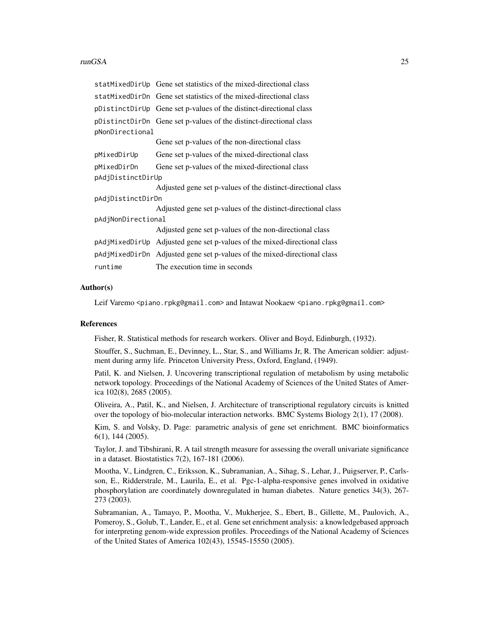#### runGSA 25

|                    | statMixedDirUp Gene set statistics of the mixed-directional class        |  |
|--------------------|--------------------------------------------------------------------------|--|
|                    | statMixedDirDn Gene set statistics of the mixed-directional class        |  |
|                    | pDistinctDirUp Gene set p-values of the distinct-directional class       |  |
|                    | pDistinctDirDn Gene set p-values of the distinct-directional class       |  |
| pNonDirectional    |                                                                          |  |
|                    | Gene set p-values of the non-directional class                           |  |
| pMixedDirUp        | Gene set p-values of the mixed-directional class                         |  |
| pMixedDirDn        | Gene set p-values of the mixed-directional class                         |  |
| pAdjDistinctDirUp  |                                                                          |  |
|                    | Adjusted gene set p-values of the distinct-directional class             |  |
| pAdjDistinctDirDn  |                                                                          |  |
|                    | Adjusted gene set p-values of the distinct-directional class             |  |
| pAdjNonDirectional |                                                                          |  |
|                    | Adjusted gene set p-values of the non-directional class                  |  |
|                    | pAdjMixedDirUp Adjusted gene set p-values of the mixed-directional class |  |
|                    | pAdjMixedDirDn Adjusted gene set p-values of the mixed-directional class |  |
| runtime            | The execution time in seconds                                            |  |

#### Author(s)

Leif Varemo <piano.rpkg@gmail.com> and Intawat Nookaew <piano.rpkg@gmail.com>

#### References

Fisher, R. Statistical methods for research workers. Oliver and Boyd, Edinburgh, (1932).

Stouffer, S., Suchman, E., Devinney, L., Star, S., and Williams Jr, R. The American soldier: adjustment during army life. Princeton University Press, Oxford, England, (1949).

Patil, K. and Nielsen, J. Uncovering transcriptional regulation of metabolism by using metabolic network topology. Proceedings of the National Academy of Sciences of the United States of America 102(8), 2685 (2005).

Oliveira, A., Patil, K., and Nielsen, J. Architecture of transcriptional regulatory circuits is knitted over the topology of bio-molecular interaction networks. BMC Systems Biology 2(1), 17 (2008).

Kim, S. and Volsky, D. Page: parametric analysis of gene set enrichment. BMC bioinformatics 6(1), 144 (2005).

Taylor, J. and Tibshirani, R. A tail strength measure for assessing the overall univariate significance in a dataset. Biostatistics 7(2), 167-181 (2006).

Mootha, V., Lindgren, C., Eriksson, K., Subramanian, A., Sihag, S., Lehar, J., Puigserver, P., Carlsson, E., Ridderstrale, M., Laurila, E., et al. Pgc-1-alpha-responsive genes involved in oxidative phosphorylation are coordinately downregulated in human diabetes. Nature genetics 34(3), 267- 273 (2003).

Subramanian, A., Tamayo, P., Mootha, V., Mukherjee, S., Ebert, B., Gillette, M., Paulovich, A., Pomeroy, S., Golub, T., Lander, E., et al. Gene set enrichment analysis: a knowledgebased approach for interpreting genom-wide expression profiles. Proceedings of the National Academy of Sciences of the United States of America 102(43), 15545-15550 (2005).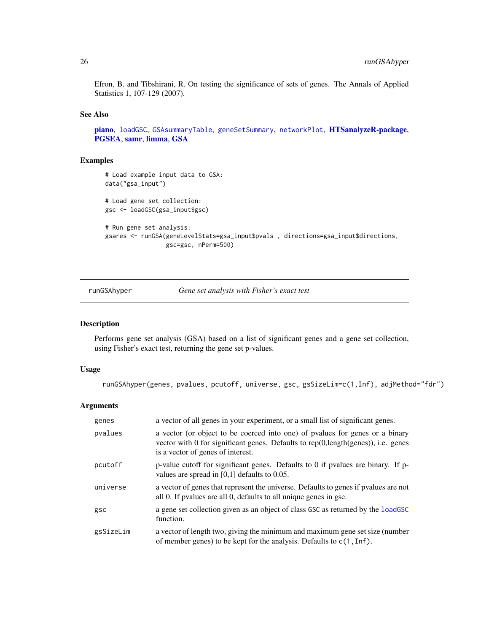<span id="page-25-0"></span>Efron, B. and Tibshirani, R. On testing the significance of sets of genes. The Annals of Applied Statistics 1, 107-129 (2007).

#### See Also

[piano](#page-1-1), [loadGSC](#page-13-1), [GSAsummaryTable](#page-11-1), [geneSetSummary](#page-9-1), [networkPlot](#page-17-1), [HTSanalyzeR-package](#page-0-0), [PGSEA](#page-0-0), [samr](#page-0-0), [limma](#page-0-0), [GSA](#page-0-0)

#### Examples

```
# Load example input data to GSA:
data("gsa_input")
# Load gene set collection:
gsc <- loadGSC(gsa_input$gsc)
# Run gene set analysis:
gsares <- runGSA(geneLevelStats=gsa_input$pvals , directions=gsa_input$directions,
                 gsc=gsc, nPerm=500)
```
runGSAhyper *Gene set analysis with Fisher's exact test*

#### Description

Performs gene set analysis (GSA) based on a list of significant genes and a gene set collection, using Fisher's exact test, returning the gene set p-values.

# Usage

runGSAhyper(genes, pvalues, pcutoff, universe, gsc, gsSizeLim=c(1,Inf), adjMethod="fdr")

| genes     | a vector of all genes in your experiment, or a small list of significant genes.                                                                                                                            |
|-----------|------------------------------------------------------------------------------------------------------------------------------------------------------------------------------------------------------------|
| pvalues   | a vector (or object to be coerced into one) of pyalues for genes or a binary<br>vector with 0 for significant genes. Defaults to $rep(0, length(genes))$ , i.e. genes<br>is a vector of genes of interest. |
| pcutoff   | p-value cutoff for significant genes. Defaults to 0 if pvalues are binary. If p-<br>values are spread in $[0,1]$ defaults to 0.05.                                                                         |
| universe  | a vector of genes that represent the universe. Defaults to genes if pvalues are not<br>all 0. If pvalues are all 0, defaults to all unique genes in gsc.                                                   |
| gsc       | a gene set collection given as an object of class GSC as returned by the loadGSC<br>function.                                                                                                              |
| gsSizeLim | a vector of length two, giving the minimum and maximum gene set size (number<br>of member genes) to be kept for the analysis. Defaults to $c(1, \text{Inf})$ .                                             |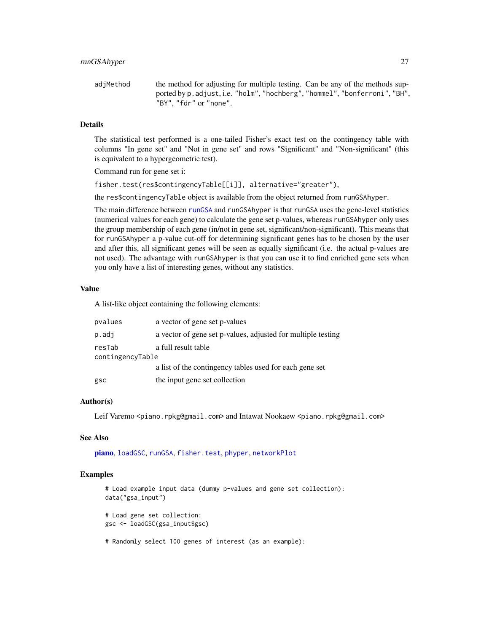adjMethod the method for adjusting for multiple testing. Can be any of the methods supported by p.adjust, i.e. "holm", "hochberg", "hommel", "bonferroni", "BH", "BY", "fdr" or "none".

#### Details

The statistical test performed is a one-tailed Fisher's exact test on the contingency table with columns "In gene set" and "Not in gene set" and rows "Significant" and "Non-significant" (this is equivalent to a hypergeometric test).

Command run for gene set i:

fisher.test(res\$contingencyTable[[i]], alternative="greater"),

the res\$contingencyTable object is available from the object returned from runGSAhyper.

The main difference between [runGSA](#page-21-1) and runGSAhyper is that runGSA uses the gene-level statistics (numerical values for each gene) to calculate the gene set p-values, whereas runGSAhyper only uses the group membership of each gene (in/not in gene set, significant/non-significant). This means that for runGSAhyper a p-value cut-off for determining significant genes has to be chosen by the user and after this, all significant genes will be seen as equally significant (i.e. the actual p-values are not used). The advantage with runGSAhyper is that you can use it to find enriched gene sets when you only have a list of interesting genes, without any statistics.

#### Value

A list-like object containing the following elements:

| pvalues          | a vector of gene set p-values                                |
|------------------|--------------------------------------------------------------|
| p.addj           | a vector of gene set p-values, adjusted for multiple testing |
| resTab           | a full result table                                          |
| contingencyTable |                                                              |
|                  | a list of the contingency tables used for each gene set      |
| gsc              | the input gene set collection                                |

#### Author(s)

Leif Varemo <piano.rpkg@gmail.com> and Intawat Nookaew <piano.rpkg@gmail.com>

#### See Also

[piano](#page-1-1), [loadGSC](#page-13-1), [runGSA](#page-21-1), [fisher.test](#page-0-0), [phyper](#page-0-0), [networkPlot](#page-17-1)

#### Examples

```
# Load example input data (dummy p-values and gene set collection):
data("gsa_input")
# Load gene set collection:
gsc <- loadGSC(gsa_input$gsc)
# Randomly select 100 genes of interest (as an example):
```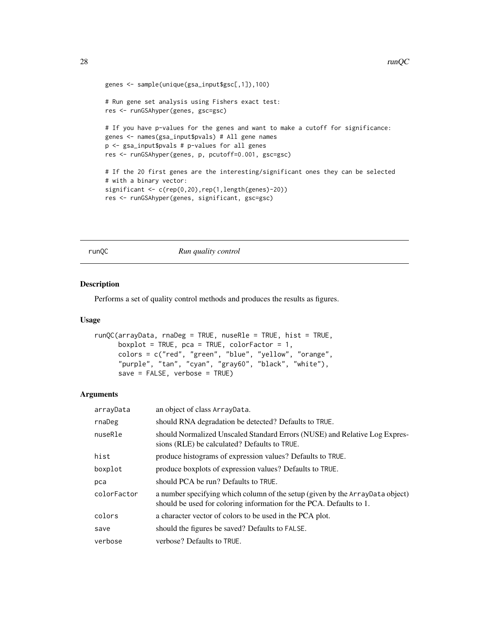```
genes <- sample(unique(gsa_input$gsc[,1]),100)
# Run gene set analysis using Fishers exact test:
res <- runGSAhyper(genes, gsc=gsc)
# If you have p-values for the genes and want to make a cutoff for significance:
genes <- names(gsa_input$pvals) # All gene names
p <- gsa_input$pvals # p-values for all genes
res <- runGSAhyper(genes, p, pcutoff=0.001, gsc=gsc)
# If the 20 first genes are the interesting/significant ones they can be selected
# with a binary vector:
significant <- c(rep(0,20),rep(1,length(genes)-20))
res <- runGSAhyper(genes, significant, gsc=gsc)
```
<span id="page-27-1"></span>runQC *Run quality control*

#### Description

Performs a set of quality control methods and produces the results as figures.

#### Usage

```
runQC(arrayData, rnaDeg = TRUE, nuseRle = TRUE, hist = TRUE,
     boxplot = TRUE, pca = TRUE, colorFactor = 1,
     colors = c("red", "green", "blue", "yellow", "orange",
      "purple", "tan", "cyan", "gray60", "black", "white"),
     save = FALSE, verbose = TRUE)
```

| arrayData   | an object of class ArrayData.                                                                                                                        |
|-------------|------------------------------------------------------------------------------------------------------------------------------------------------------|
| rnaDeg      | should RNA degradation be detected? Defaults to TRUE.                                                                                                |
| nuseRle     | should Normalized Unscaled Standard Errors (NUSE) and Relative Log Expres-<br>sions (RLE) be calculated? Defaults to TRUE.                           |
| hist        | produce histograms of expression values? Defaults to TRUE.                                                                                           |
| boxplot     | produce boxplots of expression values? Defaults to TRUE.                                                                                             |
| pca         | should PCA be run? Defaults to TRUE.                                                                                                                 |
| colorFactor | a number specifying which column of the setup (given by the ArrayData object)<br>should be used for coloring information for the PCA. Defaults to 1. |
| colors      | a character vector of colors to be used in the PCA plot.                                                                                             |
| save        | should the figures be saved? Defaults to FALSE.                                                                                                      |
| verbose     | verbose? Defaults to TRUE.                                                                                                                           |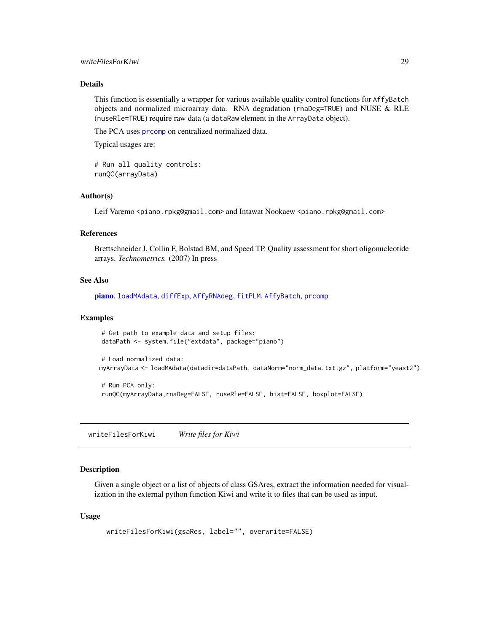# <span id="page-28-0"></span>writeFilesForKiwi 29

# Details

This function is essentially a wrapper for various available quality control functions for AffyBatch objects and normalized microarray data. RNA degradation (rnaDeg=TRUE) and NUSE & RLE (nuseRle=TRUE) require raw data (a dataRaw element in the ArrayData object).

The PCA uses [prcomp](#page-0-0) on centralized normalized data.

Typical usages are:

# Run all quality controls: runQC(arrayData)

#### Author(s)

Leif Varemo <piano.rpkg@gmail.com> and Intawat Nookaew <piano.rpkg@gmail.com>

#### References

Brettschneider J, Collin F, Bolstad BM, and Speed TP. Quality assessment for short oligonucleotide arrays. *Technometrics.* (2007) In press

#### See Also

[piano](#page-1-1), [loadMAdata](#page-15-1), [diffExp](#page-5-1), [AffyRNAdeg](#page-0-0), [fitPLM](#page-0-0), [AffyBatch](#page-0-0), [prcomp](#page-0-0)

#### Examples

```
# Get path to example data and setup files:
dataPath <- system.file("extdata", package="piano")
# Load normalized data:
myArrayData <- loadMAdata(datadir=dataPath, dataNorm="norm_data.txt.gz", platform="yeast2")
# Run PCA only:
```

```
runQC(myArrayData,rnaDeg=FALSE, nuseRle=FALSE, hist=FALSE, boxplot=FALSE)
```
writeFilesForKiwi *Write files for Kiwi*

#### Description

Given a single object or a list of objects of class GSAres, extract the information needed for visualization in the external python function Kiwi and write it to files that can be used as input.

#### Usage

```
writeFilesForKiwi(gsaRes, label="", overwrite=FALSE)
```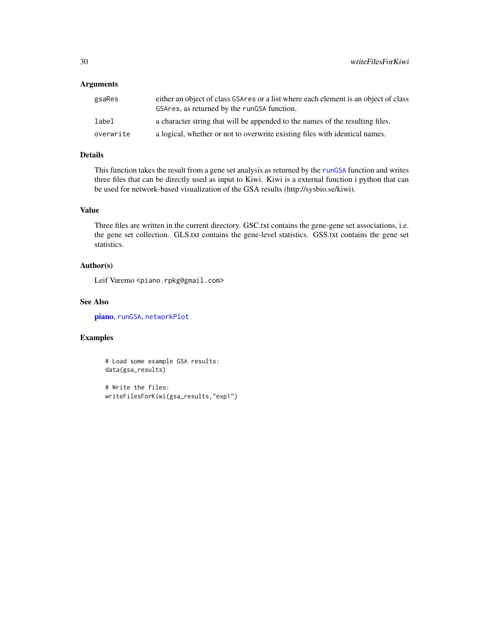# Arguments

| gsaRes    | either an object of class GSAres or a list where each element is an object of class<br>GSAres, as returned by the rungs a function. |
|-----------|-------------------------------------------------------------------------------------------------------------------------------------|
| label     | a character string that will be appended to the names of the resulting files.                                                       |
| overwrite | a logical, whether or not to overwrite existing files with identical names.                                                         |

# Details

This function takes the result from a gene set analysis as returned by the [runGSA](#page-21-1) function and writes three files that can be directly used as input to Kiwi. Kiwi is a external function i python that can be used for network-based visualization of the GSA results (http://sysbio.se/kiwi).

# Value

Three files are written in the current directory. GSC.txt contains the gene-gene set associations, i.e. the gene set collection. GLS.txt contains the gene-level statistics. GSS.txt contains the gene set statistics.

#### Author(s)

Leif Varemo <piano.rpkg@gmail.com>

#### See Also

[piano](#page-1-1), [runGSA](#page-21-1), [networkPlot](#page-17-1)

# Examples

# Load some example GSA results: data(gsa\_results)

# Write the files: writeFilesForKiwi(gsa\_results,"exp1")